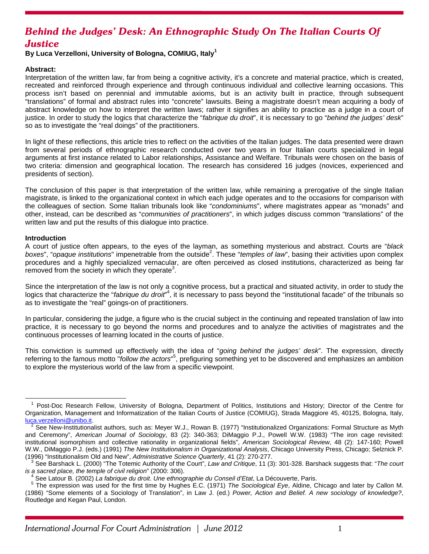# *Behind the Judges' Desk: An Ethnographic Study On The Italian Courts Of Justice*

## **By Luca Verzelloni, University of Bologna, COMIUG, Italy1**

## **Abstract:**

Interpretation of the written law, far from being a cognitive activity, it's a concrete and material practice, which is created, recreated and reinforced through experience and through continuous individual and collective learning occasions. This process isn't based on perennial and immutable axioms, but is an activity built in practice, through subsequent "translations" of formal and abstract rules into "concrete" lawsuits. Being a magistrate doesn't mean acquiring a body of abstract knowledge on how to interpret the written laws; rather it signifies an ability to practice as a judge in a court of justice. In order to study the logics that characterize the "*fabrique du droit*", it is necessary to go "*behind the judges' desk*" so as to investigate the "real doings" of the practitioners.

In light of these reflections, this article tries to reflect on the activities of the Italian judges. The data presented were drawn from several periods of ethnographic research conducted over two years in four Italian courts specialized in legal arguments at first instance related to Labor relationships, Assistance and Welfare. Tribunals were chosen on the basis of two criteria: dimension and geographical location. The research has considered 16 judges (novices, experienced and presidents of section).

The conclusion of this paper is that interpretation of the written law, while remaining a prerogative of the single Italian magistrate, is linked to the organizational context in which each judge operates and to the occasions for comparison with the colleagues of section. Some Italian tribunals look like "*condominiums*", where magistrates appear as "monads" and other, instead, can be described as "*communities of practitioners*", in which judges discuss common "translations" of the written law and put the results of this dialogue into practice.

#### **Introduction**

A court of justice often appears, to the eyes of the layman, as something mysterious and abstract. Courts are "*black*  boxes", "opaque institutions" impenetrable from the outside<sup>2</sup>. These "temples of law", basing their activities upon complex procedures and a highly specialized vernacular, are often perceived as closed institutions, characterized as being far  $r$ emoved from the society in which they operate<sup>3</sup>.

Since the interpretation of the law is not only a cognitive process, but a practical and situated activity, in order to study the logics that characterize the "fabrique du droit"<sup>4</sup>, it is necessary to pass beyond the "institutional facade" of the tribunals so as to investigate the "real" goings-on of practitioners.

In particular, considering the judge, a figure who is the crucial subject in the continuing and repeated translation of law into practice, it is necessary to go beyond the norms and procedures and to analyze the activities of magistrates and the continuous processes of learning located in the courts of justice.

This conviction is summed up effectively with the idea of "*going behind the judges' desk*". The expression, directly referring to the famous motto "*follow the actors*"<sup>5</sup>, prefiguring something yet to be discovered and emphasizes an ambition to explore the mysterious world of the law from a specific viewpoint.

The Most-Doc Research Fellow, University of Bologna, Department of Politics, Institutions and History; Director of the Centre for Organization, Management and Informatization of the Italian Courts of Justice (COMIUG), Strada Maggiore 45, 40125, Bologna, Italy, luca.verzelloni@unibo.it. 2

 $^2$  See New-Institutionalist authors, such as: Meyer W.J., Rowan B. (1977) "Institutionalized Organizations: Formal Structure as Myth and Ceremony", *American Journal of Sociology*, 83 (2): 340-363; DiMaggio P.J., Powell W.W. (1983) "The iron cage revisited: institutional isomorphism and collective rationality in organizational fields", *American Sociological Review*, 48 (2): 147-160; Powell W.W., DiMaggio P.J. (eds.) (1991) *The New Institutionalism in Organizational Analysis*, Chicago University Press, Chicago; Selznick P. (1996) "Institutionalism Old and New", *Administrative Science Quarterly*, 41 (2): 270-277. 3

See Barshack L. (2000) "The Totemic Authority of the Court", *Law and Critique*, 11 (3): 301-328. Barshack suggests that: "*The court is a sacred place, the temple of civil religion*" (2000: 306). 4

See Latour B. (2002) *La fabrique du droit*. *Une ethnographie du Conseil d'Etat*, La Découverte, Paris. 5

The expression was used for the first time by Hughes E.C. (1971) *The Sociological Eye*, Aldine, Chicago and later by Callon M. (1986) "Some elements of a Sociology of Translation", in Law J. (ed.) *Power, Action and Belief. A new sociology of knowledge?*, Routledge and Kegan Paul, London.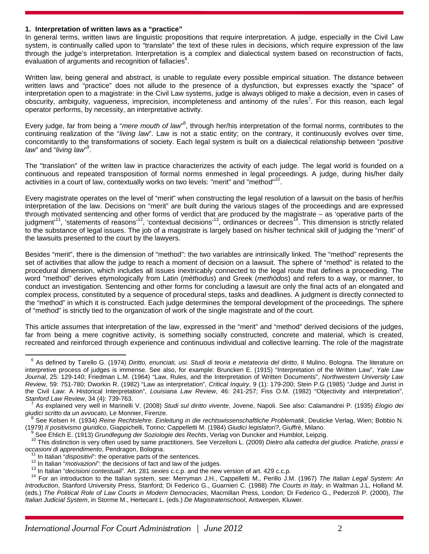#### **1. Interpretation of written laws as a "practice"**

In general terms, written laws are linguistic propositions that require interpretation. A judge, especially in the Civil Law system, is continually called upon to "translate" the text of these rules in decisions, which require expression of the law through the judge's interpretation. Interpretation is a complex and dialectical system based on reconstruction of facts, evaluation of arguments and recognition of fallacies<sup>6</sup>.

Written law, being general and abstract, is unable to regulate every possible empirical situation. The distance between written laws and "practice" does not allude to the presence of a dysfunction, but expresses exactly the "space" of interpretation open to a magistrate: in the Civil Law systems, judge is always obliged to make a decision, even in cases of obscurity, ambiguity, vagueness, imprecision, incompleteness and antinomy of the rules<sup>7</sup>. For this reason, each legal operator performs, by necessity, an interpretative activity.

Every judge, far from being a "*mere mouth of law*<sup>8</sup>, through her/his interpretation of the formal norms, contributes to the continuing realization of the "*living law*". Law is not a static entity; on the contrary, it continuously evolves over time, concomitantly to the transformations of society. Each legal system is built on a dialectical relationship between "*positive*  law" and "living law"<sup>9</sup>.

The "translation" of the written law in practice characterizes the activity of each judge. The legal world is founded on a continuous and repeated transposition of formal norms enmeshed in legal proceedings. A judge, during his/her daily activities in a court of law, contextually works on two levels: "merit" and "method"<sup>10</sup>.

Every magistrate operates on the level of "merit" when constructing the legal resolution of a lawsuit on the basis of her/his interpretation of the law. Decisions on "merit" are built during the various stages of the proceedings and are expressed through motivated sentencing and other forms of verdict that are produced by the magistrate – as 'operative parts of the judgment<sup>11</sup>, 'statements of reasons'<sup>12</sup>, 'contextual decisions'<sup>13</sup>, ordinances or decrees<sup>14</sup>. This dimension is strictly related to the substance of legal issues. The job of a magistrate is largely based on his/her technical skill of judging the "merit" of the lawsuits presented to the court by the lawyers.

Besides "merit", there is the dimension of "method": the two variables are intrinsically linked. The "method" represents the set of activities that allow the judge to reach a moment of decision on a lawsuit. The sphere of "method" is related to the procedural dimension, which includes all issues inextricably connected to the legal route that defines a proceeding. The word "method" derives etymologically from Latin (*mèthodus*) and Greek (*methòdos*) and refers to a way, or manner, to conduct an investigation. Sentencing and other forms for concluding a lawsuit are only the final acts of an elongated and complex process, constituted by a sequence of procedural steps, tasks and deadlines. A judgment is directly connected to the "method" in which it is constructed. Each judge determines the temporal development of the proceedings. The sphere of "method" is strictly tied to the organization of work of the single magistrate and of the court.

This article assumes that interpretation of the law, expressed in the "merit" and "method" derived decisions of the judges, far from being a mere cognitive activity, is something socially constructed, concrete and material, which is created, recreated and reinforced through experience and continuous individual and collective learning. The role of the magistrate

6 As defined by Tarello G. (1974) *Diritto, enunciati, usi. Studi di teoria e metateoria del diritto*, Il Mulino, Bologna. The literature on interpretive process of judges is immense. See also, for example: Bruncken E. (1915) "Interpretation of the Written Law", *Yale Law Journal*, 25: 129-140; Friedman L.M. (1964) "Law, Rules, and the Interpretation of Written Documents", *Northwestern University Law Review*, 59: 751-780; Dworkin R. (1982) "Law as interpretation", *Critical Inquiry*, 9 (1): 179-200; Stein P.G (1985) "Judge and Jurist in the Civil Law: A Historical Interpretation", *Louisiana Law Review*, 46: 241-257; Fiss O.M. (1982) "Objectivity and interpretation", *Stanford Law Review, 34 (4): 739-763.* 

As explained very well in Marinelli V. (2008) *Studi sul diritto vivente*, Jovene, Napoli. See also: Calamandrei P. (1935) *Elogio dei giudici scritto da un avvocato*, Le Monnier, Firenze. 8

<sup>&</sup>lt;sup>8</sup> See Kelsen H. (1934) *Reine Rechtslehre. Einleitung in die rechtswissenschaftliche Problematik*, Deuticke Verlag, Wien; Bobbio N. (1979) *Il positivismo giuridico*, Giappichelli, Torino; Cappelletti M. (1984) *Giudici legislatori?*, Giuffrè, Milano. 9

This distinction is very often used by same practitioners. See Verzelloni L. (2009) Dietro alla cattedra del giudice. Pratiche, prassi e<br>occasioni di apprendimento, Pendragon, Bologna.

<sup>&</sup>lt;sup>11</sup> In Italian "*dispositivi*": the operative parts of the sentences.<br><sup>12</sup> In Italian "*motivazioni*": the decisions of fact and law of the judges.<br><sup>13</sup> In Italian "*decisioni contestuali*". Art. 281 sexies c.c.p. and the *Introduction*, Stanford University Press, Stanford; Di Federico G., Guarnieri C. (1988) *The Courts in Italy*, in Waltman J.L, Holland M. (eds.) *The Political Role of Law Courts in Modern Democracies*, Macmillan Press, London; Di Federico G., Pederzoli P. (2000), *The Italian Judicial System*, in Storme M., Hertecant L. (eds.) *De Magistratenschool*, Antwerpen, Kluwer.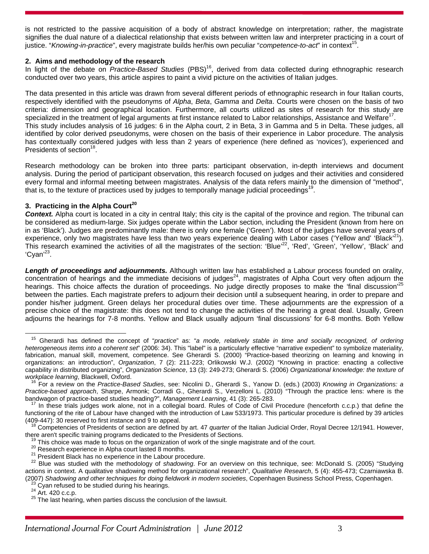is not restricted to the passive acquisition of a body of abstract knowledge on interpretation; rather, the magistrate signifies the dual nature of a dialectical relationship that exists between written law and interpreter practicing in a court of justice. "*Knowing-in-practice*", every magistrate builds her/his own peculiar "*competence-to-act*" in context15.

#### **2. Aims and methodology of the research**

In light of the debate on *Practice-Based Studies* (PBS)<sup>16</sup>, derived from data collected during ethnographic research conducted over two years, this article aspires to paint a vivid picture on the activities of Italian judges.

The data presented in this article was drawn from several different periods of ethnographic research in four Italian courts, respectively identified with the pseudonyms of *Alpha*, *Beta*, *Gamma* and *Delta*. Courts were chosen on the basis of two criteria: dimension and geographical location. Furthermore, all courts utilized as sites of research for this study are specialized in the treatment of legal arguments at first instance related to Labor relationships, Assistance and Welfare<sup>17</sup> This study includes analysis of 16 judges: 6 in the Alpha court, 2 in Beta, 3 in Gamma and 5 in Delta. These judges, all identified by color derived pseudonyms, were chosen on the basis of their experience in Labor procedure. The analysis has contextually considered judges with less than 2 years of experience (here defined as 'novices'), experienced and Presidents of section<sup>18</sup>.

Research methodology can be broken into three parts: participant observation, in-depth interviews and document analysis. During the period of participant observation, this research focused on judges and their activities and considered every formal and informal meeting between magistrates. Analysis of the data refers mainly to the dimension of "method", that is, to the texture of practices used by judges to temporally manage judicial proceedings<sup>1</sup>

# **3. Practicing in the Alpha Court<sup>20</sup>**

**Context.** Alpha court is located in a city in central Italy; this city is the capital of the province and region. The tribunal can be considered as medium-large. Six judges operate within the Labor section, including the President (known from here on in as 'Black'). Judges are predominantly male: there is only one female ('Green'). Most of the judges have several years of experience, only two magistrates have less than two years experience dealing with Labor cases ('Yellow and' 'Black'<sup>21</sup>). This research examined the activities of all the magistrates of the section: 'Blue'<sup>22</sup>, 'Red', 'Green', 'Yellow', 'Black' and 'Cyan'23.

*Length of proceedings and adjournments.* Although written law has established a Labour process founded on orality, concentration of hearings and the immediate decisions of judges<sup>24</sup>, magistrates of Alpha Court very often adjourn the hearings. This choice affects the duration of proceedings. No judge directly proposes to make the 'final discussion'<sup>25</sup> between the parties. Each magistrate prefers to adjourn their decision until a subsequent hearing, in order to prepare and ponder his/her judgment. Green delays her procedural duties over time. These adjournments are the expression of a precise choice of the magistrate: this does not tend to change the activities of the hearing a great deal. Usually, Green adjourns the hearings for 7-8 months. Yellow and Black usually adjourn 'final discussions' for 6-8 months. Both Yellow

15 Gherardi has defined the concept of "*practice*" as: "*a mode, relatively stable in time and socially recognized, of ordering heterogeneous items into a coherent set*" (2006: 34). This "label" is a particularly effective "narrative expedient" to symbolize materiality, fabrication, manual skill, movement, competence. See Gherardi S. (2000) "Practice-based theorizing on learning and knowing in organizations: an introduction", *Organization*, 7 (2): 211-223; Orlikowski W.J. (2002) "Knowing in practice: enacting a collective capability in distributed organizing", *Organization Science*, 13 (3): 249-273; Gherardi S. (2006) *Organizational knowledge: the texture of* 

<sup>&</sup>lt;sup>16</sup> For a review on the *Practice-Based Studies*, see: Nicolini D., Gherardi S., Yanow D. (eds.) (2003) *Knowing in Organizations: a Practice-based approach*, Sharpe, Armonk; Corradi G., Gherardi S., Verzelloni L. (2010) "Through the practice lens: where is the bandwagon of practice-based studies heading?", *Management Learning*, 41 (3): 265-283.<br><sup>17</sup> In these trials judges work alone, not in a collegial board. Rules of Code of Civil Procedure (henceforth c.c.p.) that define the

functioning of the rite of Labour have changed with the introduction of Law 533/1973. This particular procedure is defined by 39 articles

<sup>(409-447): 30</sup> reserved to first instance and 9 to appeal.<br><sup>18</sup> Competencies of Presidents of section are defined by art. 47 *quarter* of the Italian Judicial Order, Royal Decree 12/1941. However,

there aren't specific training programs dedicated to the Presidents of Sections.<br><sup>19</sup> This choice was made to focus on the organization of work of the single magistrate and of the court.<br><sup>20</sup> Research experience in Alpha c actions in context. A qualitative shadowing method for organizational research", *Qualitative Research*, 5 (4): 455-473; Czarniawska B. (2007) Shadowing and other techniques for doing fieldwork in modern societies, Copenhagen Business School Press, Copenhagen.<br><sup>23</sup> Cyan refused to be studied during his hearings.<br><sup>24</sup> Art. 420 c.c.p.<br><sup>25</sup> The last hearing,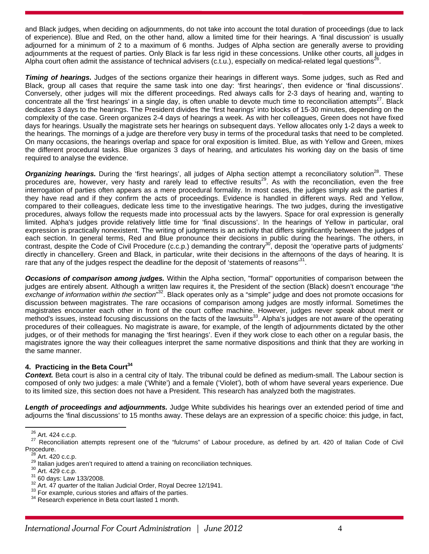and Black judges, when deciding on adjournments, do not take into account the total duration of proceedings (due to lack of experience). Blue and Red, on the other hand, allow a limited time for their hearings. A 'final discussion' is usually adjourned for a minimum of 2 to a maximum of 6 months. Judges of Alpha section are generally averse to providing adjournments at the request of parties. Only Black is far less rigid in these concessions. Unlike other courts, all judges in Alpha court often admit the assistance of technical advisers (c.t.u.), especially on medical-related legal questions<sup>26</sup>.

*Timing of hearings.* Judges of the sections organize their hearings in different ways. Some judges, such as Red and Black, group all cases that require the same task into one day: 'first hearings', then evidence or 'final discussions'. Conversely, other judges will mix the different proceedings. Red always calls for 2-3 days of hearing and, wanting to concentrate all the 'first hearings' in a single day, is often unable to devote much time to reconciliation attempts<sup>27</sup>. Black dedicates 3 days to the hearings. The President divides the 'first hearings' into blocks of 15-30 minutes, depending on the complexity of the case. Green organizes 2-4 days of hearings a week. As with her colleagues, Green does not have fixed days for hearings. Usually the magistrate sets her hearings on subsequent days. Yellow allocates only 1-2 days a week to the hearings. The mornings of a judge are therefore very busy in terms of the procedural tasks that need to be completed. On many occasions, the hearings overlap and space for oral exposition is limited. Blue, as with Yellow and Green, mixes the different procedural tasks. Blue organizes 3 days of hearing, and articulates his working day on the basis of time required to analyse the evidence.

**Organizing hearings.** During the 'first hearings', all judges of Alpha section attempt a reconciliatory solution<sup>28</sup>. These procedures are, however, very hasty and rarely lead to effective results<sup>29</sup>. As with the reconciliation, even the free interrogation of parties often appears as a mere procedural formality. In most cases, the judges simply ask the parties if they have read and if they confirm the acts of proceedings. Evidence is handled in different ways. Red and Yellow, compared to their colleagues, dedicate less time to the investigative hearings. The two judges, during the investigative procedures, always follow the requests made into processual acts by the lawyers. Space for oral expression is generally limited. Alpha's judges provide relatively little time for 'final discussions'. In the hearings of Yellow in particular, oral expression is practically nonexistent. The writing of judgments is an activity that differs significantly between the judges of each section. In general terms, Red and Blue pronounce their decisions in public during the hearings. The others, in each section. In general terms, rice and Like pronounce their accretion in the contrary eposit the 'operative parts of judgments' directly in chancellery. Green and Black, in particular, write their decisions in the afternoons of the days of hearing. It is rare that any of the judges respect the deadline for the deposit of 'statements of reasons<sup>31</sup>.

*Occasions of comparison among judges.* Within the Alpha section, "formal" opportunities of comparison between the judges are entirely absent. Although a written law requires it, the President of the section (Black) doesn't encourage "*the exchange of information within the section*" 32. Black operates only as a "simple" judge and does not promote occasions for discussion between magistrates. The rare occasions of comparison among judges are mostly informal. Sometimes the magistrates encounter each other in front of the court coffee machine. However, judges never speak about merit or method's issues, instead focusing discussions on the facts of the lawsuits<sup>33</sup>. Alpha's judges are not aware of the operating procedures of their colleagues. No magistrate is aware, for example, of the length of adjournments dictated by the other judges, or of their methods for managing the 'first hearings'. Even if they work close to each other on a regular basis, the magistrates ignore the way their colleagues interpret the same normative dispositions and think that they are working in the same manner.

# **4. Practicing in the Beta Court**<sup>34</sup>

*Context.* Beta court is also in a central city of Italy. The tribunal could be defined as medium-small. The Labour section is composed of only two judges: a male ('White') and a female ('Violet'), both of whom have several years experience. Due to its limited size, this section does not have a President. This research has analyzed both the magistrates.

*Length of proceedings and adjournments.* Judge White subdivides his hearings over an extended period of time and adjourns the 'final discussions' to 15 months away. These delays are an expression of a specific choice: this judge, in fact,

<sup>&</sup>lt;sup>26</sup> Art. 424 c.c.p.<br><sup>27</sup> Reconciliation attempts represent one of the "fulcrums" of Labour procedure, as defined by art. 420 of Italian Code of Civil<br>Procedure.

<sup>&</sup>lt;sup>28</sup> Art. 420 c.c.p.<br>
<sup>29</sup> Italian judges aren't required to attend a training on reconciliation techniques.<br>
<sup>30</sup> Art. 429 c.c.p.<br>
<sup>31</sup> 60 days: Law 133/2008.<br>
<sup>32</sup> Art. 47 *quarter* of the Italian Judicial Order, Royal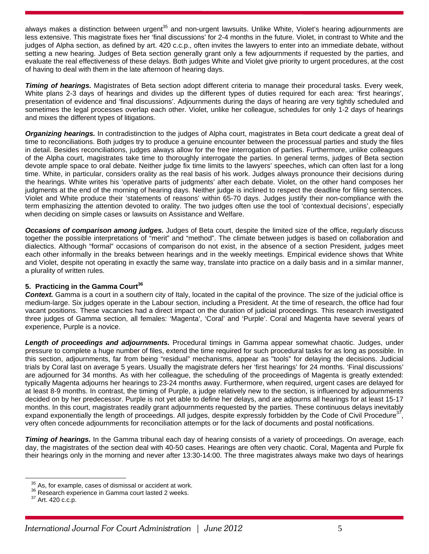always makes a distinction between urgent<sup>35</sup> and non-urgent lawsuits. Unlike White, Violet's hearing adjournments are less extensive. This magistrate fixes her 'final discussions' for 2-4 months in the future. Violet, in contrast to White and the judges of Alpha section, as defined by art. 420 c.c.p., often invites the lawyers to enter into an immediate debate, without setting a new hearing. Judges of Beta section generally grant only a few adjournments if requested by the parties, and evaluate the real effectiveness of these delays. Both judges White and Violet give priority to urgent procedures, at the cost of having to deal with them in the late afternoon of hearing days.

*Timing of hearings.* Magistrates of Beta section adopt different criteria to manage their procedural tasks. Every week, White plans 2-3 days of hearings and divides up the different types of duties required for each area: 'first hearings', presentation of evidence and 'final discussions'. Adjournments during the days of hearing are very tightly scheduled and sometimes the legal processes overlap each other. Violet, unlike her colleague, schedules for only 1-2 days of hearings and mixes the different types of litigations.

*Organizing hearings.* In contradistinction to the judges of Alpha court, magistrates in Beta court dedicate a great deal of time to reconciliations. Both judges try to produce a genuine encounter between the processual parties and study the files in detail. Besides reconciliations, judges always allow for the free interrogation of parties. Furthermore, unlike colleagues of the Alpha court, magistrates take time to thoroughly interrogate the parties. In general terms, judges of Beta section devote ample space to oral debate. Neither judge fix time limits to the lawyers' speeches, which can often last for a long time. White, in particular, considers orality as the real basis of his work. Judges always pronounce their decisions during the hearings. White writes his 'operative parts of judgments' after each debate. Violet, on the other hand composes her judgments at the end of the morning of hearing days. Neither judge is inclined to respect the deadline for filing sentences. Violet and White produce their 'statements of reasons' within 65-70 days. Judges justify their non-compliance with the term emphasizing the attention devoted to orality. The two judges often use the tool of 'contextual decisions', especially when deciding on simple cases or lawsuits on Assistance and Welfare.

*Occasions of comparison among judges.* Judges of Beta court, despite the limited size of the office, regularly discuss together the possible interpretations of "merit" and "method". The climate between judges is based on collaboration and dialectics. Although "formal" occasions of comparison do not exist, in the absence of a section President, judges meet each other informally in the breaks between hearings and in the weekly meetings. Empirical evidence shows that White and Violet, despite not operating in exactly the same way, translate into practice on a daily basis and in a similar manner, a plurality of written rules.

# **5. Practicing in the Gamma Court<sup>36</sup>**

*Context.* Gamma is a court in a southern city of Italy, located in the capital of the province. The size of the judicial office is medium-large. Six judges operate in the Labour section, including a President. At the time of research, the office had four vacant positions. These vacancies had a direct impact on the duration of judicial proceedings. This research investigated three judges of Gamma section, all females: 'Magenta', 'Coral' and 'Purple'. Coral and Magenta have several years of experience, Purple is a novice.

*Length of proceedings and adjournments.* Procedural timings in Gamma appear somewhat chaotic. Judges, under pressure to complete a huge number of files, extend the time required for such procedural tasks for as long as possible. In this section, adjournments, far from being "residual" mechanisms, appear as "tools" for delaying the decisions. Judicial trials by Coral last on average 5 years. Usually the magistrate defers her 'first hearings' for 24 months. 'Final discussions' are adjourned for 34 months. As with her colleague, the scheduling of the proceedings of Magenta is greatly extended: typically Magenta adjourns her hearings to 23-24 months away. Furthermore, when required, urgent cases are delayed for at least 8-9 months. In contrast, the timing of Purple, a judge relatively new to the section, is influenced by adjournments decided on by her predecessor. Purple is not yet able to define her delays, and are adjourns all hearings for at least 15-17 months. In this court, magistrates readily grant adjournments requested by the parties. These continuous delays inevitably expand exponentially the length of proceedings. All judges, despite expressly forbidden by the Code of Civil Procedure $37$ , very often concede adjournments for reconciliation attempts or for the lack of documents and postal notifications.

**Timing of hearings.** In the Gamma tribunal each day of hearing consists of a variety of proceedings. On average, each day, the magistrates of the section deal with 40-50 cases. Hearings are often very chaotic. Coral, Magenta and Purple fix their hearings only in the morning and never after 13:30-14:00. The three magistrates always make two days of hearings

<sup>&</sup>lt;sup>35</sup> As, for example, cases of dismissal or accident at work.<br><sup>36</sup> Research experience in Gamma court lasted 2 weeks.<br><sup>37</sup> Art. 420 c.c.p.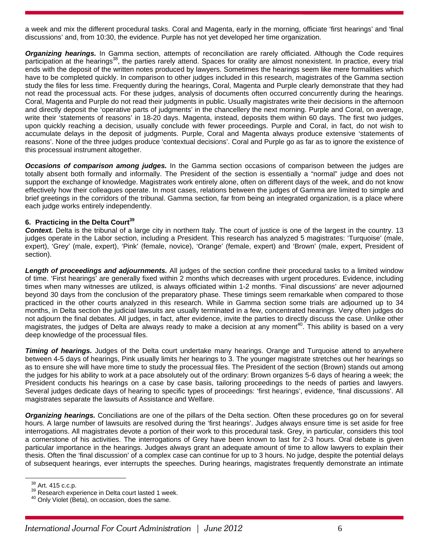a week and mix the different procedural tasks. Coral and Magenta, early in the morning, officiate 'first hearings' and 'final discussions' and, from 10:30, the evidence. Purple has not yet developed her time organization.

*Organizing hearings.* In Gamma section, attempts of reconciliation are rarely officiated. Although the Code requires participation at the hearings<sup>38</sup>, the parties rarely attend. Spaces for orality are almost nonexistent. In practice, every trial ends with the deposit of the written notes produced by lawyers. Sometimes the hearings seem like mere formalities which have to be completed quickly. In comparison to other judges included in this research, magistrates of the Gamma section study the files for less time. Frequently during the hearings, Coral, Magenta and Purple clearly demonstrate that they had not read the processual acts. For these judges, analysis of documents often occurred concurrently during the hearings. Coral, Magenta and Purple do not read their judgments in public. Usually magistrates write their decisions in the afternoon and directly deposit the 'operative parts of judgments' in the chancellery the next morning. Purple and Coral, on average, write their 'statements of reasons' in 18-20 days. Magenta, instead, deposits them within 60 days. The first two judges, upon quickly reaching a decision, usually conclude with fewer proceedings. Purple and Coral, in fact, do not wish to accumulate delays in the deposit of judgments. Purple, Coral and Magenta always produce extensive 'statements of reasons'. None of the three judges produce 'contextual decisions'. Coral and Purple go as far as to ignore the existence of this processual instrument altogether.

*Occasions of comparison among judges.* In the Gamma section occasions of comparison between the judges are totally absent both formally and informally. The President of the section is essentially a "normal" judge and does not support the exchange of knowledge. Magistrates work entirely alone, often on different days of the week, and do not know effectively how their colleagues operate. In most cases, relations between the judges of Gamma are limited to simple and brief greetings in the corridors of the tribunal. Gamma section, far from being an integrated organization, is a place where each judge works entirely independently.

## **6. Practicing in the Delta Court<sup>39</sup>**

*Context.* Delta is the tribunal of a large city in northern Italy. The court of justice is one of the largest in the country. 13 judges operate in the Labor section, including a President. This research has analyzed 5 magistrates: 'Turquoise' (male, expert), 'Grey' (male, expert), 'Pink' (female, novice), 'Orange' (female, expert) and 'Brown' (male, expert, President of section).

*Length of proceedings and adjournments.* All judges of the section confine their procedural tasks to a limited window of time. 'First hearings' are generally fixed within 2 months which decreases with urgent procedures. Evidence, including times when many witnesses are utilized, is always officiated within 1-2 months. 'Final discussions' are never adjourned beyond 30 days from the conclusion of the preparatory phase. These timings seem remarkable when compared to those practiced in the other courts analyzed in this research. While in Gamma section some trials are adjourned up to 34 months, in Delta section the judicial lawsuits are usually terminated in a few, concentrated hearings. Very often judges do not adjourn the final debates. All judges, in fact, after evidence, invite the parties to directly discuss the case. Unlike other magistrates, the judges of Delta are always ready to make a decision at any moment<sup>40</sup>. This ability is based on a very deep knowledge of the processual files.

*Timing of hearings.* Judges of the Delta court undertake many hearings. Orange and Turquoise attend to anywhere between 4-5 days of hearings, Pink usually limits her hearings to 3. The younger magistrate stretches out her hearings so as to ensure she will have more time to study the processual files. The President of the section (Brown) stands out among the judges for his ability to work at a pace absolutely out of the ordinary: Brown organizes 5-6 days of hearing a week; the President conducts his hearings on a case by case basis, tailoring proceedings to the needs of parties and lawyers. Several judges dedicate days of hearing to specific types of proceedings: 'first hearings', evidence, 'final discussions'. All magistrates separate the lawsuits of Assistance and Welfare.

*Organizing hearings.* Conciliations are one of the pillars of the Delta section. Often these procedures go on for several hours. A large number of lawsuits are resolved during the 'first hearings'. Judges always ensure time is set aside for free interrogations. All magistrates devote a portion of their work to this procedural task. Grey, in particular, considers this tool a cornerstone of his activities. The interrogations of Grey have been known to last for 2-3 hours. Oral debate is given particular importance in the hearings. Judges always grant an adequate amount of time to allow lawyers to explain their thesis. Often the 'final discussion' of a complex case can continue for up to 3 hours. No judge, despite the potential delays of subsequent hearings, ever interrupts the speeches. During hearings, magistrates frequently demonstrate an intimate

 $38$  Art. 415 c.c.p.<br> $39$  Research experience in Delta court lasted 1 week.<br><sup>40</sup> Only Violet (Beta), on occasion, does the same.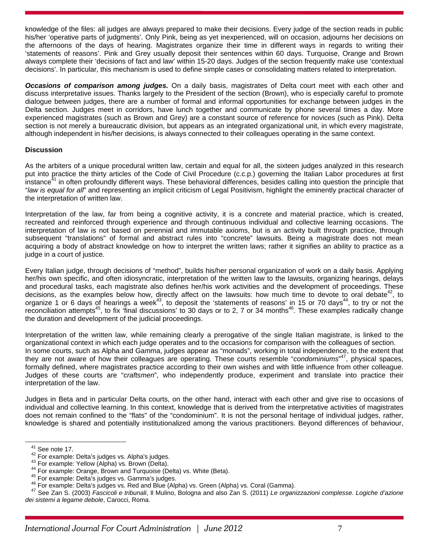knowledge of the files: all judges are always prepared to make their decisions. Every judge of the section reads in public his/her 'operative parts of judgments'. Only Pink, being as yet inexperienced, will on occasion, adjourns her decisions on the afternoons of the days of hearing. Magistrates organize their time in different ways in regards to writing their 'statements of reasons'. Pink and Grey usually deposit their sentences within 60 days. Turquoise, Orange and Brown always complete their 'decisions of fact and law' within 15-20 days. Judges of the section frequently make use 'contextual decisions'. In particular, this mechanism is used to define simple cases or consolidating matters related to interpretation.

*Occasions of comparison among judges.* On a daily basis, magistrates of Delta court meet with each other and discuss interpretative issues. Thanks largely to the President of the section (Brown), who is especially careful to promote dialogue between judges, there are a number of formal and informal opportunities for exchange between judges in the Delta section. Judges meet in corridors, have lunch together and communicate by phone several times a day. More experienced magistrates (such as Brown and Grey) are a constant source of reference for novices (such as Pink). Delta section is not merely a bureaucratic division, but appears as an integrated organizational unit, in which every magistrate, although independent in his/her decisions, is always connected to their colleagues operating in the same context.

## **Discussion**

As the arbiters of a unique procedural written law, certain and equal for all, the sixteen judges analyzed in this research put into practice the thirty articles of the Code of Civil Procedure (c.c.p.) governing the Italian Labor procedures at first instance<sup>41</sup> in often profoundly different ways. These behavioral differences, besides calling into question the principle that "*law is equal for all*" and representing an implicit criticism of Legal Positivism, highlight the eminently practical character of the interpretation of written law.

Interpretation of the law, far from being a cognitive activity, it is a concrete and material practice, which is created, recreated and reinforced through experience and through continuous individual and collective learning occasions. The interpretation of law is not based on perennial and immutable axioms, but is an activity built through practice, through subsequent "translations" of formal and abstract rules into "concrete" lawsuits. Being a magistrate does not mean acquiring a body of abstract knowledge on how to interpret the written laws; rather it signifies an ability to practice as a judge in a court of justice.

Every Italian judge, through decisions of "method", builds his/her personal organization of work on a daily basis. Applying her/his own specific, and often idiosyncratic, interpretation of the written law to the lawsuits, organizing hearings, delays and procedural tasks, each magistrate also defines her/his work activities and the development of proceedings. These decisions, as the examples below how, directly affect on the lawsuits: how much time to devote to oral debate<sup>42</sup>, to organize 1 or 6 days of hearings a week<sup>43</sup>, to deposit the 'statements of reasons' in 15 or 70 days<sup>44</sup>, to try or not the reconciliation attempts<sup>45</sup>, to fix 'final discussions' to 30 days or to 2, 7 or 34 months<sup>46</sup>. These examples radically change the duration and development of the judicial proceedings.

Interpretation of the written law, while remaining clearly a prerogative of the single Italian magistrate, is linked to the organizational context in which each judge operates and to the occasions for comparison with the colleagues of section. In some courts, such as Alpha and Gamma, judges appear as "monads", working in total independence, to the extent that they are not aware of how their colleagues are operating. These courts resemble "*condominiums*" 47, physical spaces, formally defined, where magistrates practice according to their own wishes and with little influence from other colleague. Judges of these courts are "*craftsmen*", who independently produce, experiment and translate into practice their interpretation of the law.

Judges in Beta and in particular Delta courts, on the other hand, interact with each other and give rise to occasions of individual and collective learning. In this context, knowledge that is derived from the interpretative activities of magistrates does not remain confined to the "flats" of the "condominium". It is not the personal heritage of individual judges, rather, knowledge is shared and potentially institutionalized among the various practitioners. Beyond differences of behaviour,

<sup>&</sup>lt;sup>41</sup> See note 17.<br><sup>42</sup> For example: Delta's judges vs. Alpha's judges.<br><sup>43</sup> For example: Yellow (Alpha) vs. Brown (Delta).<br><sup>43</sup> For example: Orange, Brown and Turquoise (Delta) vs. White (Beta).<br><sup>45</sup> For example: Delta's j *dei sistemi a legame debole*, Carocci, Roma.